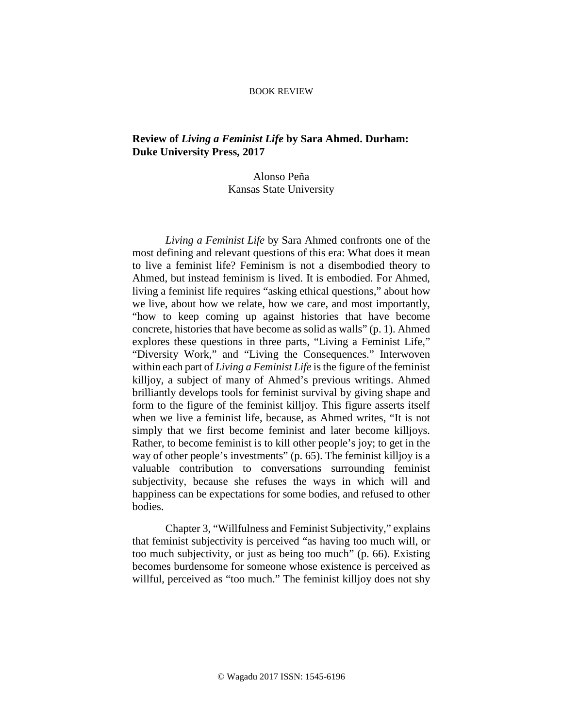## BOOK REVIEW

## **Review of** *Living a Feminist Life* **by Sara Ahmed. Durham: Duke University Press, 2017**

## Alonso Peña Kansas State University

*Living a Feminist Life* by Sara Ahmed confronts one of the most defining and relevant questions of this era: What does it mean to live a feminist life? Feminism is not a disembodied theory to Ahmed, but instead feminism is lived. It is embodied. For Ahmed, living a feminist life requires "asking ethical questions," about how we live, about how we relate, how we care, and most importantly, "how to keep coming up against histories that have become concrete, histories that have become as solid as walls" (p. 1). Ahmed explores these questions in three parts, "Living a Feminist Life," "Diversity Work," and "Living the Consequences." Interwoven within each part of *Living a Feminist Life* is the figure of the feminist killjoy, a subject of many of Ahmed's previous writings. Ahmed brilliantly develops tools for feminist survival by giving shape and form to the figure of the feminist killjoy. This figure asserts itself when we live a feminist life, because, as Ahmed writes, "It is not simply that we first become feminist and later become killjoys. Rather, to become feminist is to kill other people's joy; to get in the way of other people's investments" (p. 65). The feminist killjoy is a valuable contribution to conversations surrounding feminist subjectivity, because she refuses the ways in which will and happiness can be expectations for some bodies, and refused to other bodies.

Chapter 3, "Willfulness and Feminist Subjectivity," explains that feminist subjectivity is perceived "as having too much will, or too much subjectivity, or just as being too much" (p. 66). Existing becomes burdensome for someone whose existence is perceived as willful, perceived as "too much." The feminist killjoy does not shy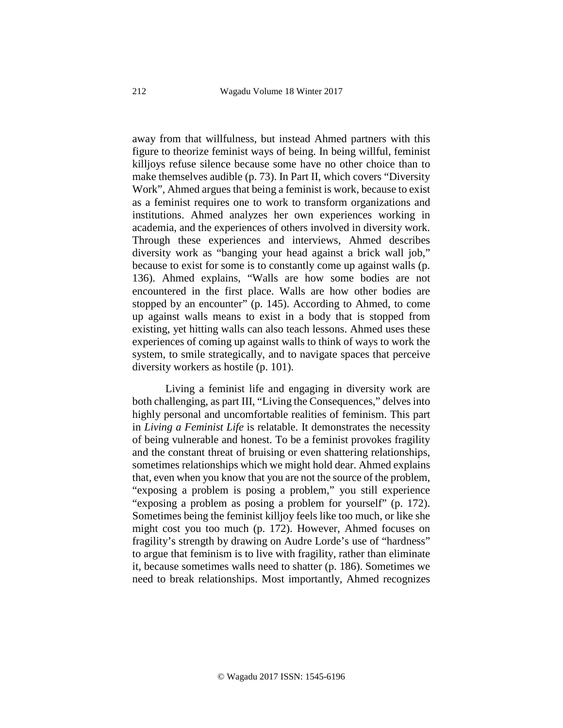away from that willfulness, but instead Ahmed partners with this figure to theorize feminist ways of being. In being willful, feminist killjoys refuse silence because some have no other choice than to make themselves audible (p. 73). In Part II, which covers "Diversity Work", Ahmed argues that being a feminist is work, because to exist as a feminist requires one to work to transform organizations and institutions. Ahmed analyzes her own experiences working in academia, and the experiences of others involved in diversity work. Through these experiences and interviews, Ahmed describes diversity work as "banging your head against a brick wall job," because to exist for some is to constantly come up against walls (p. 136). Ahmed explains, "Walls are how some bodies are not encountered in the first place. Walls are how other bodies are stopped by an encounter" (p. 145). According to Ahmed, to come up against walls means to exist in a body that is stopped from existing, yet hitting walls can also teach lessons. Ahmed uses these experiences of coming up against walls to think of ways to work the system, to smile strategically, and to navigate spaces that perceive diversity workers as hostile (p. 101).

Living a feminist life and engaging in diversity work are both challenging, as part III, "Living the Consequences," delves into highly personal and uncomfortable realities of feminism. This part in *Living a Feminist Life* is relatable. It demonstrates the necessity of being vulnerable and honest. To be a feminist provokes fragility and the constant threat of bruising or even shattering relationships, sometimes relationships which we might hold dear. Ahmed explains that, even when you know that you are not the source of the problem, "exposing a problem is posing a problem," you still experience "exposing a problem as posing a problem for yourself" (p. 172). Sometimes being the feminist killjoy feels like too much, or like she might cost you too much (p. 172). However, Ahmed focuses on fragility's strength by drawing on Audre Lorde's use of "hardness" to argue that feminism is to live with fragility, rather than eliminate it, because sometimes walls need to shatter (p. 186). Sometimes we need to break relationships. Most importantly, Ahmed recognizes